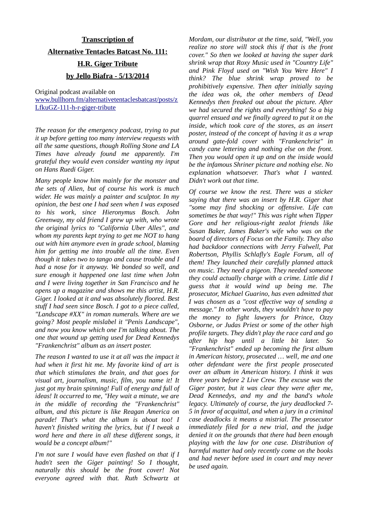## **Transcription of Alternative Tentacles Batcast No. 111: H.R. Giger Tribute by Jello Biafra - 5/13/2014**

Original podcast available on [www.bullhorn.fm/alternativetentaclesbatcast/posts/z](http://www.bullhorn.fm/alternativetentaclesbatcast/posts/zLfkuGZ-111-h-r-giger-tribute) [LfkuGZ-111-h-r-giger-tribute](http://www.bullhorn.fm/alternativetentaclesbatcast/posts/zLfkuGZ-111-h-r-giger-tribute)

*The reason for the emergency podcast, trying to put it up before getting too many interview requests with all the same questions, though Rolling Stone and LA Times have already found me apparently. I'm grateful they would even consider wanting my input on Hans Ruedi Giger.*

*Many people know him mainly for the monster and the sets of Alien, but of course his work is much wider. He was mainly a painter and sculptor. In my opinion, the best one I had seen when I was exposed to his work, since Hieronymus Bosch. John Greenway, my old friend I grew up with, who wrote the original lyrics to "California Uber Alles", and whom my parents kept trying to get me NOT to hang out with him anymore even in grade school, blaming him for getting me into trouble all the time. Even though it takes two to tango and cause trouble and I had a nose for it anyway. We bonded so well, and sure enough it happened one last time when John and I were living together in San Francisco and he opens up a magazine and shows me this artist, H.R. Giger. I looked at it and was absolutely floored. Best stuff I had seen since Bosch. I got to a piece called, "Landscape #XX" in roman numerals. Where are we going? Most people mislabel it "Penis Landscape", and now you know which one I'm talking about. The one that wound up getting used for Dead Kennedys "Frankenchrist" album as an insert poster.*

*The reason I wanted to use it at all was the impact it had when it first hit me. My favorite kind of art is that which stimulates the brain, and that goes for visual art, journalism, music, film, you name it! It just got my brain spinning! Full of energy and full of ideas! It occurred to me, "Hey wait a minute, we are in the middle of recording the "Frankenchrist" album, and this picture is like Reagan America on parade! That's what the album is about too! I haven't finished writing the lyrics, but if I tweak a word here and there in all these different songs, it would be a concept album!"*

*I'm not sure I would have even flashed on that if I hadn't seen the Giger painting! So I thought, naturally this should be the front cover! Not everyone agreed with that. Ruth Schwartz at* *Mordam, our distributor at the time, said, "Well, you realize no store will stock this if that is the front cover." So then we looked at having the super dark shrink wrap that Roxy Music used in "Country Life" and Pink Floyd used on "Wish You Were Here" I think? The blue shrink wrap proved to be prohibitively expensive. Then after initially saying the idea was ok, the other members of Dead Kennedys then freaked out about the picture. After we had secured the rights and everything! So a big quarrel ensued and we finally agreed to put it on the inside, which took care of the stores, as an insert poster, instead of the concept of having it as a wrap around gate-fold cover with "Frankenchrist" in candy cane lettering and nothing else on the front. Then you would open it up and on the inside would be the infamous Shriner picture and nothing else. No explanation whatsoever. That's what I wanted. Didn't work out that time.*

*Of course we know the rest. There was a sticker saying that there was an insert by H.R. Giger that "some may find shocking or offensive. Life can sometimes be that way!" This was right when Tipper Gore and her religious-right zealot friends like Susan Baker, James Baker's wife who was on the board of directors of Focus on the Family. They also had backdoor connections with Jerry Falwell, Pat Robertson, Phyllis Schlafly's Eagle Forum, all of them! They launched their carefully planned attack on music. They need a pigeon. They needed someone they could actually charge with a crime. Little did I guess that it would wind up being me. The prosecutor, Michael Guarino, has even admitted that I was chosen as a "cost effective way of sending a message." In other words, they wouldn't have to pay the money to fight lawyers for Prince, Ozzy Osborne, or Judas Priest or some of the other high profile targets. They didn't play the race card and go after hip hop until a little bit later. So "Frankenchrist" ended up becoming the first album in American history, prosecuted … well, me and one other defendant were the first people prosecuted over an album in American history. I think it was three years before 2 Live Crew. The excuse was the Giger poster, but it was clear they were after me, Dead Kennedys, and my and the band's whole legacy. Ultimately of course, the jury deadlocked 7- 5 in favor of acquittal, and when a jury in a criminal case deadlocks it means a mistrial. The prosecutor immediately filed for a new trial, and the judge denied it on the grounds that there had been enough playing with the law for one case. Distribution of harmful matter had only recently come on the books and had never before used in court and may never be used again.*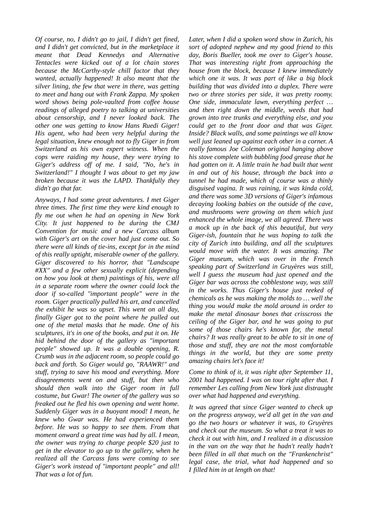*Of course, no, I didn't go to jail, I didn't get fined, and I didn't get convicted, but in the marketplace it meant that Dead Kennedys and Alternative Tentacles were kicked out of a lot chain stores because the McCarthy-style chill factor that they wanted, actually happened! It also meant that the silver lining, the few that were in there, was getting to meet and hang out with Frank Zappa. My spoken word shows being pole-vaulted from coffee house readings of alleged poetry to talking at universities about censorship, and I never looked back. The other one was getting to know Hans Ruedi Giger! His agent, who had been very helpful during the legal situation, knew enough not to fly Giger in from Switzerland as his own expert witness. When the cops were raiding my house, they were trying to Giger's address off of me. I said, "No, he's in Switzerland!" I thought I was about to get my jaw broken because it was the LAPD. Thankfully they didn't go that far.*

*Anyways, I had some great adventures. I met Giger three times. The first time they were kind enough to fly me out when he had an opening in New York City. It just happened to be during the CMJ Convention for music and a new Carcass album with Giger's art on the cover had just come out. So there were all kinds of tie-ins, except for in the mind of this really uptight, miserable owner of the gallery. Giger discovered to his horror, that "Landscape #XX" and a few other sexually explicit (depending on how you look at them) paintings of his, were all in a separate room where the owner could lock the door if so-called "important people" were in the room. Giger practically pulled his art, and cancelled the exhibit he was so upset. This went on all day, finally Giger got to the point where he pulled out one of the metal masks that he made. One of his sculptures, it's in one of the books, and put it on. He hid behind the door of the gallery as "important people" showed up. It was a double opening, R. Crumb was in the adjacent room, so people could go back and forth. So Giger would go, "RAAWR!" and stuff, trying to save his mood and everything. More disagreements went on and stuff, but then who should then walk into the Giger room in full costume, but Gwar! The owner of the gallery was so freaked out he fled his own opening and went home. Suddenly Giger was in a buoyant mood! I mean, he knew who Gwar was. He had experienced them before. He was so happy to see them. From that moment onward a great time was had by all. I mean, the owner was trying to charge people \$20 just to get in the elevator to go up to the gallery, when he realized all the Carcass fans were coming to see Giger's work instead of "important people" and all! That was a lot of fun.*

*Later, when I did a spoken word show in Zurich, his sort of adopted nephew and my good friend to this day, Boris Bueller, took me over to Giger's house. That was interesting right from approaching the house from the block, because I knew immediately which one it was. It was part of like a big block building that was divided into a duplex. There were two or three stories per side, it was pretty roomy. One side, immaculate lawn, everything perfect … and then right down the middle, weeds that had grown into tree trunks and everything else, and you could get to the front door and that was Giger. Inside? Black walls, and some paintings we all know well just leaned up against each other in a corner. A really famous Joe Coleman original hanging above his stove complete with bubbling food grease that he had gotten on it. A little train he had built that went in and out of his house, through the back into a tunnel he had made, which of course was a thinly disguised vagina. It was raining, it was kinda cold, and there was some 3D versions of Giger's infamous decaying looking babies on the outside of the cave, and mushrooms were growing on them which just enhanced the whole image, we all agreed. There was a mock up in the back of this beautiful, but very Giger-ish, fountain that he was hoping to talk the city of Zurich into building, and all the sculptures would move with the water. It was amazing. The Giger museum, which was over in the French speaking part of Switzerland in Gruyères was still, well I guess the museum had just opened and the Giger bar was across the cobblestone way, was still in the works. Thus Giger's house just reeked of chemicals as he was making the molds to … well the thing you would make the mold around in order to make the metal dinosaur bones that crisscross the ceiling of the Giger bar, and he was going to put some of those chairs he's known for, the metal chairs? It was really great to be able to sit in one of those and stuff, they are not the most comfortable things in the world, but they are some pretty amazing chairs let's face it!*

*Come to think of it, it was right after September 11, 2001 had happened. I was on tour right after that. I remember Les calling from New York just distraught over what had happened and everything.*

*It was agreed that since Giger wanted to check up on the progress anyway, we'd all get in the van and go the two hours or whatever it was, to Gruyères and check out the museum. So what a treat it was to check it out with him, and I realized in a discussion in the van on the way that he hadn't really hadn't been filled in all that much on the "Frankenchrist" legal case, the trial, what had happened and so I filled him in at length on that!*